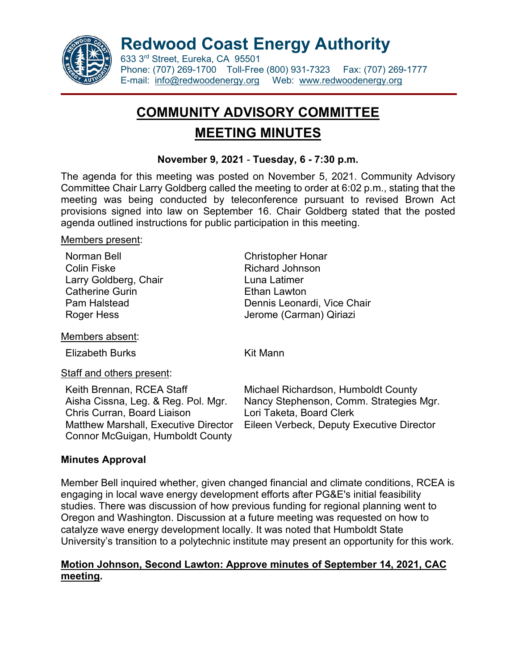

**Redwood Coast Energy Authority**

633 3rd Street, Eureka, CA 95501 Phone: (707) 269-1700 Toll-Free (800) 931-7323 Fax: (707) 269-1777 E-mail: [info@redwoodenergy.org](mailto:info@redwoodenergy.org) Web: [www.redwoodenergy.org](file://Rceadiskstation/Administration/Board%20of%20Directors/Local%20Settings/Local%20Settings/Temporary%20Internet%20Files/OLK48/www.redwoodenergy.org)

# **COMMUNITY ADVISORY COMMITTEE MEETING MINUTES**

## **November 9, 2021** - **Tuesday, 6 - 7:30 p.m.**

The agenda for this meeting was posted on November 5, 2021. Community Advisory Committee Chair Larry Goldberg called the meeting to order at 6:02 p.m., stating that the meeting was being conducted by teleconference pursuant to revised Brown Act provisions signed into law on September 16. Chair Goldberg stated that the posted agenda outlined instructions for public participation in this meeting.

#### Members present:

| Norman Bell            | <b>Christopher Honar</b>    |
|------------------------|-----------------------------|
| <b>Colin Fiske</b>     | <b>Richard Johnson</b>      |
| Larry Goldberg, Chair  | Luna Latimer                |
| <b>Catherine Gurin</b> | Ethan Lawton                |
| Pam Halstead           | Dennis Leonardi, Vice Chair |
| Roger Hess             | Jerome (Carman) Qiriazi     |
|                        |                             |

Members absent:

Elizabeth Burks Kit Mann

Staff and others present:

Aisha Cissna, Leg. & Reg. Pol. Mgr. Chris Curran, Board Liaison Matthew Marshall, Executive Director Connor McGuigan, Humboldt County

Keith Brennan, RCEA Staff Michael Richardson, Humboldt County Nancy Stephenson, Comm. Strategies Mgr. Lori Taketa, Board Clerk Eileen Verbeck, Deputy Executive Director

# **Minutes Approval**

Member Bell inquired whether, given changed financial and climate conditions, RCEA is engaging in local wave energy development efforts after PG&E's initial feasibility studies. There was discussion of how previous funding for regional planning went to Oregon and Washington. Discussion at a future meeting was requested on how to catalyze wave energy development locally. It was noted that Humboldt State University's transition to a polytechnic institute may present an opportunity for this work.

# **Motion Johnson, Second Lawton: Approve minutes of September 14, 2021, CAC meeting.**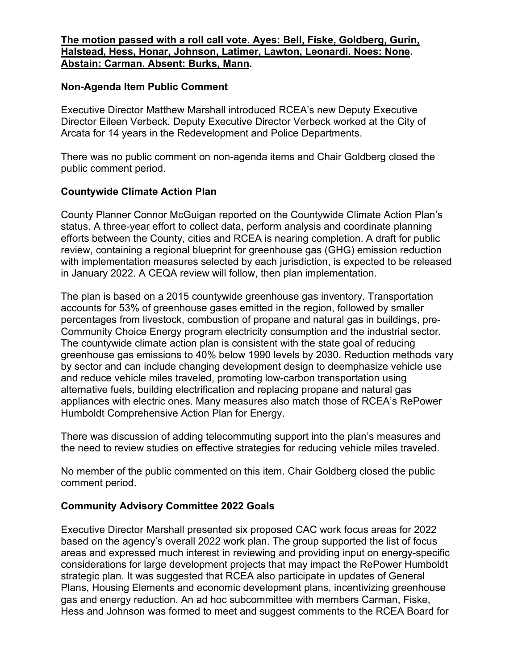#### **The motion passed with a roll call vote. Ayes: Bell, Fiske, Goldberg, Gurin, Halstead, Hess, Honar, Johnson, Latimer, Lawton, Leonardi. Noes: None. Abstain: Carman. Absent: Burks, Mann.**

#### **Non-Agenda Item Public Comment**

Executive Director Matthew Marshall introduced RCEA's new Deputy Executive Director Eileen Verbeck. Deputy Executive Director Verbeck worked at the City of Arcata for 14 years in the Redevelopment and Police Departments.

There was no public comment on non-agenda items and Chair Goldberg closed the public comment period.

### **Countywide Climate Action Plan**

County Planner Connor McGuigan reported on the Countywide Climate Action Plan's status. A three-year effort to collect data, perform analysis and coordinate planning efforts between the County, cities and RCEA is nearing completion. A draft for public review, containing a regional blueprint for greenhouse gas (GHG) emission reduction with implementation measures selected by each jurisdiction, is expected to be released in January 2022. A CEQA review will follow, then plan implementation.

The plan is based on a 2015 countywide greenhouse gas inventory. Transportation accounts for 53% of greenhouse gases emitted in the region, followed by smaller percentages from livestock, combustion of propane and natural gas in buildings, pre-Community Choice Energy program electricity consumption and the industrial sector. The countywide climate action plan is consistent with the state goal of reducing greenhouse gas emissions to 40% below 1990 levels by 2030. Reduction methods vary by sector and can include changing development design to deemphasize vehicle use and reduce vehicle miles traveled, promoting low-carbon transportation using alternative fuels, building electrification and replacing propane and natural gas appliances with electric ones. Many measures also match those of RCEA's RePower Humboldt Comprehensive Action Plan for Energy.

There was discussion of adding telecommuting support into the plan's measures and the need to review studies on effective strategies for reducing vehicle miles traveled.

No member of the public commented on this item. Chair Goldberg closed the public comment period.

#### **Community Advisory Committee 2022 Goals**

Executive Director Marshall presented six proposed CAC work focus areas for 2022 based on the agency's overall 2022 work plan. The group supported the list of focus areas and expressed much interest in reviewing and providing input on energy-specific considerations for large development projects that may impact the RePower Humboldt strategic plan. It was suggested that RCEA also participate in updates of General Plans, Housing Elements and economic development plans, incentivizing greenhouse gas and energy reduction. An ad hoc subcommittee with members Carman, Fiske, Hess and Johnson was formed to meet and suggest comments to the RCEA Board for